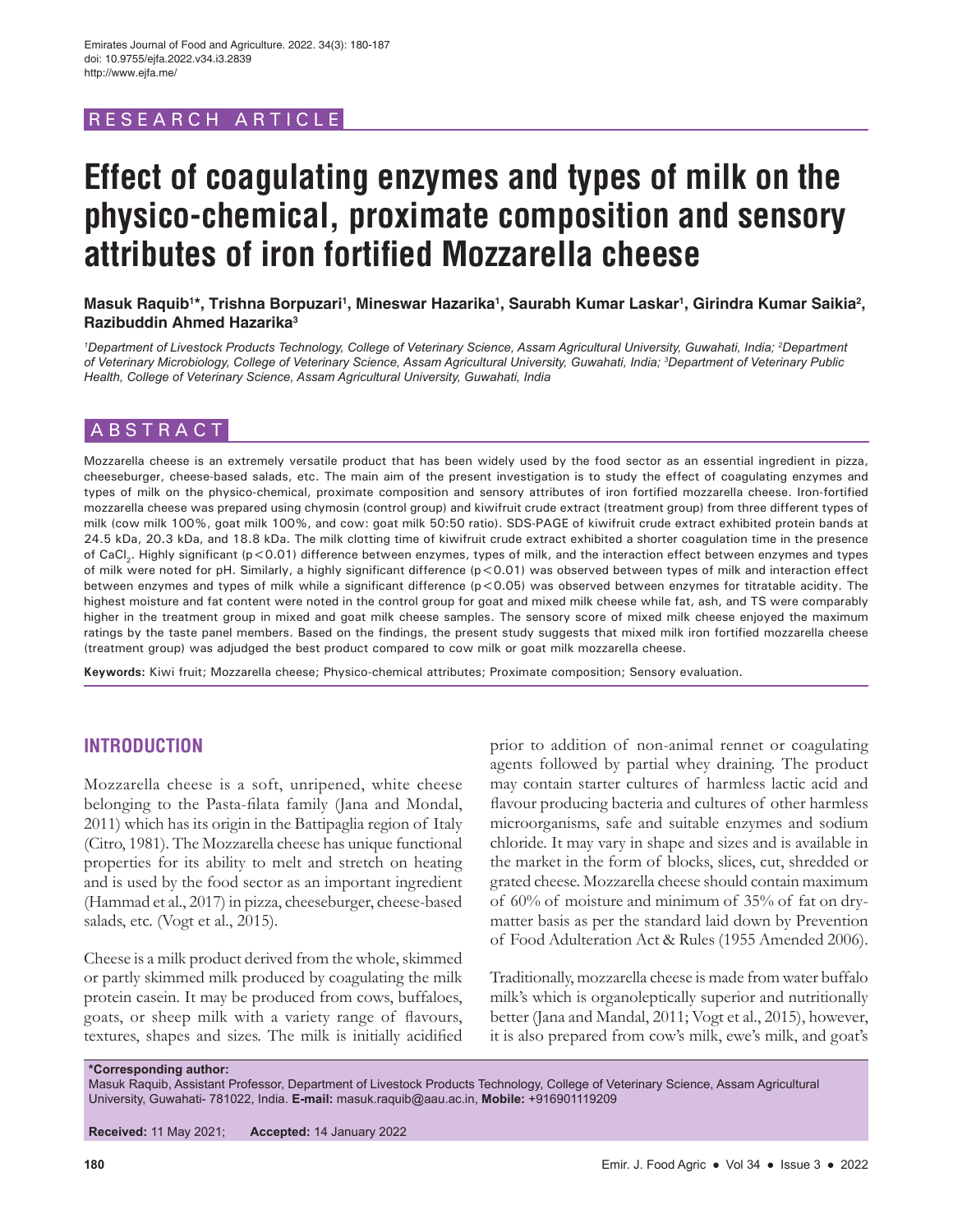# RESEARCH ARTICLE

# **Effect of coagulating enzymes and types of milk on the physico-chemical, proximate composition and sensory attributes of iron fortified Mozzarella cheese**

Masuk Raquib'\*, Trishna Borpuzari<sup>ı</sup>, Mineswar Hazarika<sup>ı</sup>, Saurabh Kumar Laskar<sup>ı</sup>, Girindra Kumar Saikia<sup>2</sup>, **Razibuddin Ahmed Hazarika3**

<sup>1</sup>Department of Livestock Products Technology, College of Veterinary Science, Assam Agricultural University, Guwahati, India; <sup>2</sup>Department *of Veterinary Microbiology, College of Veterinary Science, Assam Agricultural University, Guwahati, India; 3 Department of Veterinary Public Health, College of Veterinary Science, Assam Agricultural University, Guwahati, India*

# ABSTRACT

Mozzarella cheese is an extremely versatile product that has been widely used by the food sector as an essential ingredient in pizza, cheeseburger, cheese-based salads, etc. The main aim of the present investigation is to study the effect of coagulating enzymes and types of milk on the physico-chemical, proximate composition and sensory attributes of iron fortified mozzarella cheese. Iron-fortified mozzarella cheese was prepared using chymosin (control group) and kiwifruit crude extract (treatment group) from three different types of milk (cow milk 100%, goat milk 100%, and cow: goat milk 50:50 ratio). SDS-PAGE of kiwifruit crude extract exhibited protein bands at 24.5 kDa, 20.3 kDa, and 18.8 kDa. The milk clotting time of kiwifruit crude extract exhibited a shorter coagulation time in the presence of CaCl<sub>2</sub>. Highly significant (p<0.01) difference between enzymes, types of milk, and the interaction effect between enzymes and types of milk were noted for pH. Similarly, a highly significant difference (p<0.01) was observed between types of milk and interaction effect between enzymes and types of milk while a significant difference (p<0.05) was observed between enzymes for titratable acidity. The highest moisture and fat content were noted in the control group for goat and mixed milk cheese while fat, ash, and TS were comparably higher in the treatment group in mixed and goat milk cheese samples. The sensory score of mixed milk cheese enjoyed the maximum ratings by the taste panel members. Based on the findings, the present study suggests that mixed milk iron fortified mozzarella cheese (treatment group) was adjudged the best product compared to cow milk or goat milk mozzarella cheese.

**Keywords:** Kiwi fruit; Mozzarella cheese; Physico-chemical attributes; Proximate composition; Sensory evaluation.

# **INTRODUCTION**

Mozzarella cheese is a soft, unripened, white cheese belonging to the Pasta-filata family (Jana and Mondal, 2011) which has its origin in the Battipaglia region of Italy (Citro, 1981). The Mozzarella cheese has unique functional properties for its ability to melt and stretch on heating and is used by the food sector as an important ingredient (Hammad et al., 2017) in pizza, cheeseburger, cheese-based salads, etc. (Vogt et al., 2015).

Cheese is a milk product derived from the whole, skimmed or partly skimmed milk produced by coagulating the milk protein casein. It may be produced from cows, buffaloes, goats, or sheep milk with a variety range of flavours, textures, shapes and sizes. The milk is initially acidified prior to addition of non-animal rennet or coagulating agents followed by partial whey draining. The product may contain starter cultures of harmless lactic acid and flavour producing bacteria and cultures of other harmless microorganisms, safe and suitable enzymes and sodium chloride. It may vary in shape and sizes and is available in the market in the form of blocks, slices, cut, shredded or grated cheese. Mozzarella cheese should contain maximum of 60% of moisture and minimum of 35% of fat on drymatter basis as per the standard laid down by Prevention of Food Adulteration Act & Rules (1955 Amended 2006).

Traditionally, mozzarella cheese is made from water buffalo milk's which is organoleptically superior and nutritionally better (Jana and Mandal, 2011; Vogt et al., 2015), however, it is also prepared from cow's milk, ewe's milk, and goat's

**\*Corresponding author:**

Masuk Raquib, Assistant Professor, Department of Livestock Products Technology, College of Veterinary Science, Assam Agricultural University, Guwahati- 781022, India. **E-mail:** masuk.raquib@aau.ac.in, **Mobile:** +916901119209

**Received:** 11 May 2021; **Accepted:** 14 January 2022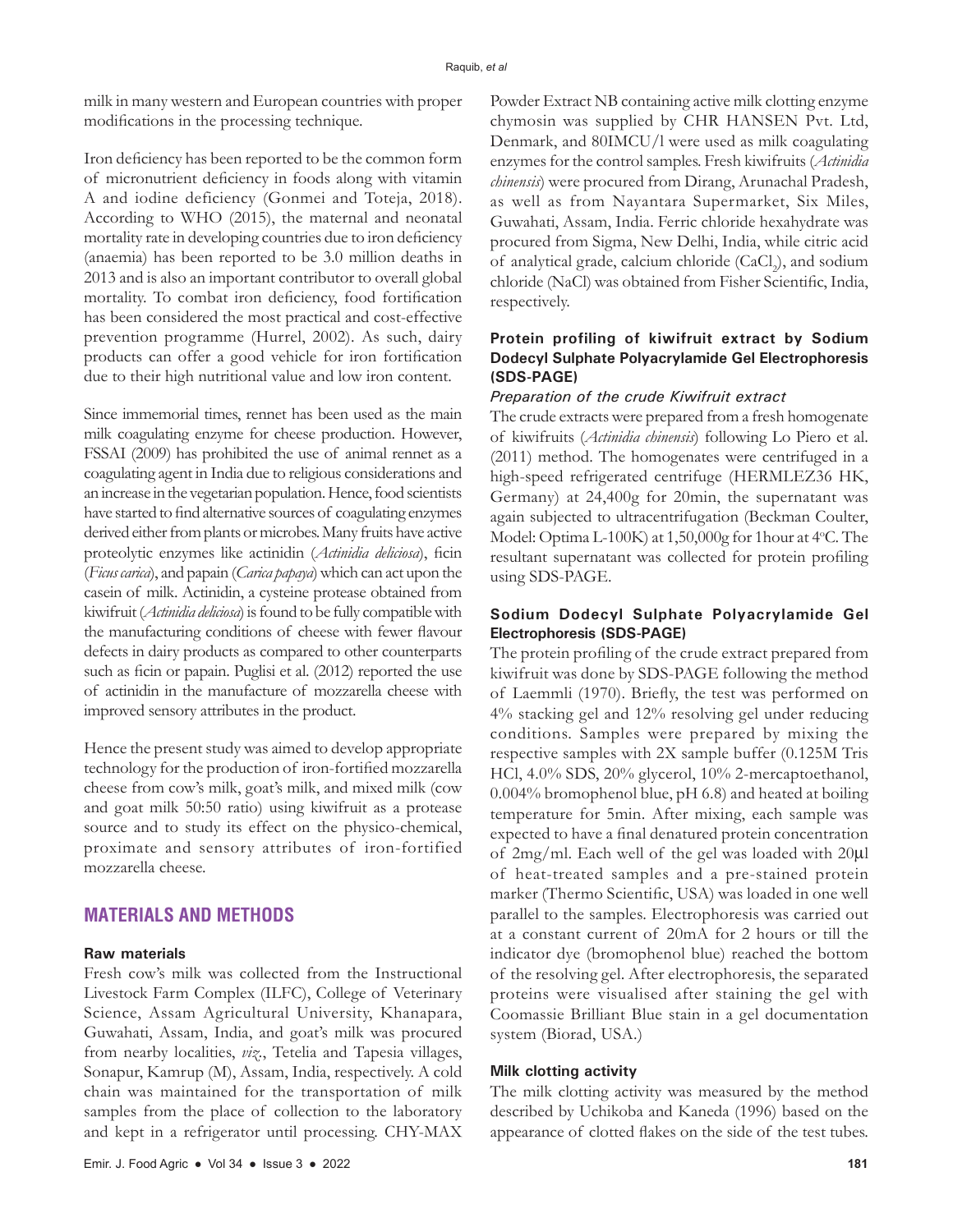milk in many western and European countries with proper modifications in the processing technique.

Iron deficiency has been reported to be the common form of micronutrient deficiency in foods along with vitamin A and iodine deficiency (Gonmei and Toteja, 2018). According to WHO (2015), the maternal and neonatal mortality rate in developing countries due to iron deficiency (anaemia) has been reported to be 3.0 million deaths in 2013 and is also an important contributor to overall global mortality. To combat iron deficiency, food fortification has been considered the most practical and cost-effective prevention programme (Hurrel, 2002). As such, dairy products can offer a good vehicle for iron fortification due to their high nutritional value and low iron content.

Since immemorial times, rennet has been used as the main milk coagulating enzyme for cheese production. However, FSSAI (2009) has prohibited the use of animal rennet as a coagulating agent in India due to religious considerations and an increase in the vegetarian population. Hence, food scientists have started to find alternative sources of coagulating enzymes derived either from plants or microbes. Many fruits have active proteolytic enzymes like actinidin (*Actinidia deliciosa*), ficin (*Ficus carica*), and papain (*Carica papaya*) which can act upon the casein of milk. Actinidin, a cysteine protease obtained from kiwifruit (*Actinidia deliciosa*) is found to be fully compatible with the manufacturing conditions of cheese with fewer flavour defects in dairy products as compared to other counterparts such as ficin or papain. Puglisi et al. (2012) reported the use of actinidin in the manufacture of mozzarella cheese with improved sensory attributes in the product.

Hence the present study was aimed to develop appropriate technology for the production of iron-fortified mozzarella cheese from cow's milk, goat's milk, and mixed milk (cow and goat milk 50:50 ratio) using kiwifruit as a protease source and to study its effect on the physico-chemical, proximate and sensory attributes of iron-fortified mozzarella cheese.

# **MATERIALS AND METHODS**

#### **Raw materials**

Fresh cow's milk was collected from the Instructional Livestock Farm Complex (ILFC), College of Veterinary Science, Assam Agricultural University, Khanapara, Guwahati, Assam, India, and goat's milk was procured from nearby localities, *viz.*, Tetelia and Tapesia villages, Sonapur, Kamrup (M), Assam, India, respectively. A cold chain was maintained for the transportation of milk samples from the place of collection to the laboratory and kept in a refrigerator until processing. CHY-MAX Powder Extract NB containing active milk clotting enzyme chymosin was supplied by CHR HANSEN Pvt. Ltd, Denmark, and 80IMCU/l were used as milk coagulating enzymes for the control samples. Fresh kiwifruits (*Actinidia chinensis*) were procured from Dirang, Arunachal Pradesh, as well as from Nayantara Supermarket, Six Miles, Guwahati, Assam, India. Ferric chloride hexahydrate was procured from Sigma, New Delhi, India, while citric acid of analytical grade, calcium chloride (CaCl<sub>2</sub>), and sodium chloride (NaCl) was obtained from Fisher Scientific, India, respectively.

# **Protein profiling of kiwifruit extract by Sodium Dodecyl Sulphate Polyacrylamide Gel Electrophoresis (SDS-PAGE)**

### *Preparation of the crude Kiwifruit extract*

The crude extracts were prepared from a fresh homogenate of kiwifruits (*Actinidia chinensis*) following Lo Piero et al. (2011) method. The homogenates were centrifuged in a high-speed refrigerated centrifuge (HERMLEZ36 HK, Germany) at 24,400g for 20min, the supernatant was again subjected to ultracentrifugation (Beckman Coulter, Model: Optima L-100K) at 1,50,000g for 1hour at 4°C. The resultant supernatant was collected for protein profiling using SDS-PAGE.

# **Sodium Dodecyl Sulphate Polyacrylamide Gel Electrophoresis (SDS-PAGE)**

The protein profiling of the crude extract prepared from kiwifruit was done by SDS-PAGE following the method of Laemmli (1970). Briefly, the test was performed on 4% stacking gel and 12% resolving gel under reducing conditions. Samples were prepared by mixing the respective samples with 2X sample buffer (0.125M Tris HCl, 4.0% SDS, 20% glycerol, 10% 2-mercaptoethanol, 0.004% bromophenol blue, pH 6.8) and heated at boiling temperature for 5min. After mixing, each sample was expected to have a final denatured protein concentration of 2mg/ml. Each well of the gel was loaded with 20µl of heat-treated samples and a pre-stained protein marker (Thermo Scientific, USA) was loaded in one well parallel to the samples. Electrophoresis was carried out at a constant current of 20mA for 2 hours or till the indicator dye (bromophenol blue) reached the bottom of the resolving gel. After electrophoresis, the separated proteins were visualised after staining the gel with Coomassie Brilliant Blue stain in a gel documentation system (Biorad, USA.)

#### **Milk clotting activity**

The milk clotting activity was measured by the method described by Uchikoba and Kaneda (1996) based on the appearance of clotted flakes on the side of the test tubes.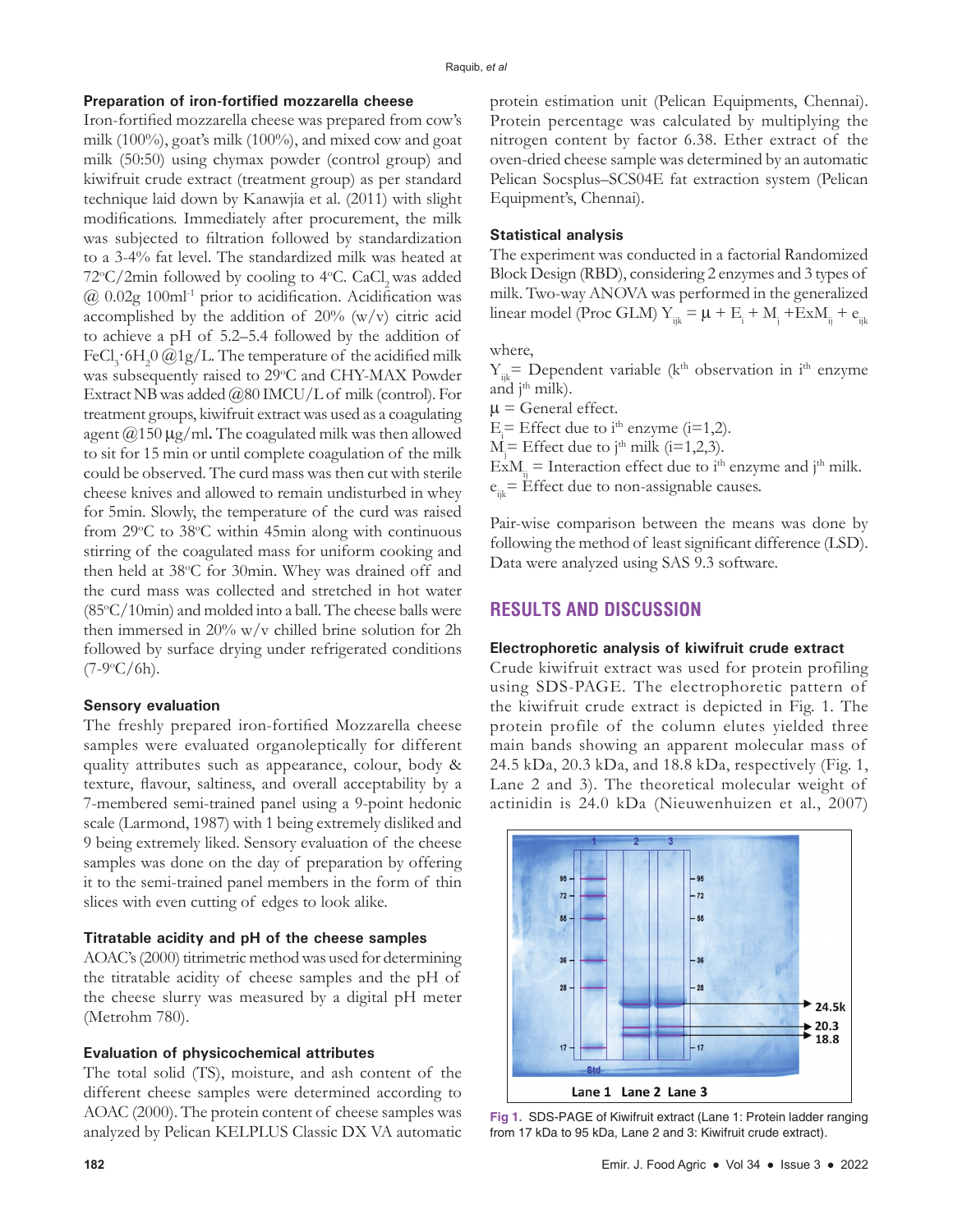# **Preparation of iron-fortified mozzarella cheese**

Iron-fortified mozzarella cheese was prepared from cow's milk (100%), goat's milk (100%), and mixed cow and goat milk (50:50) using chymax powder (control group) and kiwifruit crude extract (treatment group) as per standard technique laid down by Kanawjia et al. (2011) with slight modifications. Immediately after procurement, the milk was subjected to filtration followed by standardization to a 3-4% fat level. The standardized milk was heated at 72°C/2min followed by cooling to 4°C. CaCl<sub>2</sub> was added  $@$  0.02g 100ml<sup>-1</sup> prior to acidification. Acidification was accomplished by the addition of  $20\%$  (w/v) citric acid to achieve a pH of 5.2–5.4 followed by the addition of FeCl<sub>3</sub> 6H<sub>2</sub>0 @1g/L. The temperature of the acidified milk was subsequently raised to 29°C and CHY-MAX Powder Extract NB was added @80 IMCU/L of milk (control). For treatment groups, kiwifruit extract was used as a coagulating agent  $\omega$ 150  $\mu$ g/ml. The coagulated milk was then allowed to sit for 15 min or until complete coagulation of the milk could be observed. The curd mass was then cut with sterile cheese knives and allowed to remain undisturbed in whey for 5min. Slowly, the temperature of the curd was raised from 29°C to 38°C within 45min along with continuous stirring of the coagulated mass for uniform cooking and then held at 38°C for 30min. Whey was drained off and the curd mass was collected and stretched in hot water  $(85^{\circ}C/10$ min) and molded into a ball. The cheese balls were then immersed in 20% w/v chilled brine solution for 2h followed by surface drying under refrigerated conditions  $(7-9\degree C/6h)$ .

#### **Sensory evaluation**

The freshly prepared iron-fortified Mozzarella cheese samples were evaluated organoleptically for different quality attributes such as appearance, colour, body & texture, flavour, saltiness, and overall acceptability by a 7-membered semi-trained panel using a 9-point hedonic scale (Larmond, 1987) with 1 being extremely disliked and 9 being extremely liked. Sensory evaluation of the cheese samples was done on the day of preparation by offering it to the semi-trained panel members in the form of thin slices with even cutting of edges to look alike.

## **Titratable acidity and pH of the cheese samples**

AOAC's (2000) titrimetric method was used for determining the titratable acidity of cheese samples and the pH of the cheese slurry was measured by a digital pH meter (Metrohm 780).

# **Evaluation of physicochemical attributes**

The total solid (TS), moisture, and ash content of the different cheese samples were determined according to AOAC (2000). The protein content of cheese samples was analyzed by Pelican KELPLUS Classic DX VA automatic protein estimation unit (Pelican Equipments, Chennai). Protein percentage was calculated by multiplying the nitrogen content by factor 6.38. Ether extract of the oven-dried cheese sample was determined by an automatic Pelican Socsplus–SCS04E fat extraction system (Pelican Equipment's, Chennai).

#### **Statistical analysis**

The experiment was conducted in a factorial Randomized Block Design (RBD), considering 2 enzymes and 3 types of milk. Two-way ANOVA was performed in the generalized linear model (Proc GLM)  $Y_{ijk} = \mu + E_i + M_j + ExM_{ij} + e_{ijk}$ 

where,

 $Y_{ik}$ = Dependent variable (k<sup>th</sup> observation in i<sup>th</sup> enzyme and  $j<sup>th</sup>$  milk).

 $\mu$  = General effect.

 $E_i$  = Effect due to i<sup>th</sup> enzyme (i=1,2).

 $M_i =$  Effect due to j<sup>th</sup> milk (i=1,2,3).

 $\angle E x M_{ii} =$  Interaction effect due to i<sup>th</sup> enzyme and j<sup>th</sup> milk.  $e_{ik}$ = Effect due to non-assignable causes.

Pair-wise comparison between the means was done by following the method of least significant difference (LSD). Data were analyzed using SAS 9.3 software.

# **RESULTS AND DISCUSSION**

#### **Electrophoretic analysis of kiwifruit crude extract**

Crude kiwifruit extract was used for protein profiling using SDS-PAGE. The electrophoretic pattern of the kiwifruit crude extract is depicted in Fig. 1. The protein profile of the column elutes yielded three main bands showing an apparent molecular mass of 24.5 kDa, 20.3 kDa, and 18.8 kDa, respectively (Fig. 1, Lane 2 and 3). The theoretical molecular weight of actinidin is 24.0 kDa (Nieuwenhuizen et al., 2007)



**Fig 1.** SDS-PAGE of Kiwifruit extract (Lane 1: Protein ladder ranging from 17 kDa to 95 kDa, Lane 2 and 3: Kiwifruit crude extract).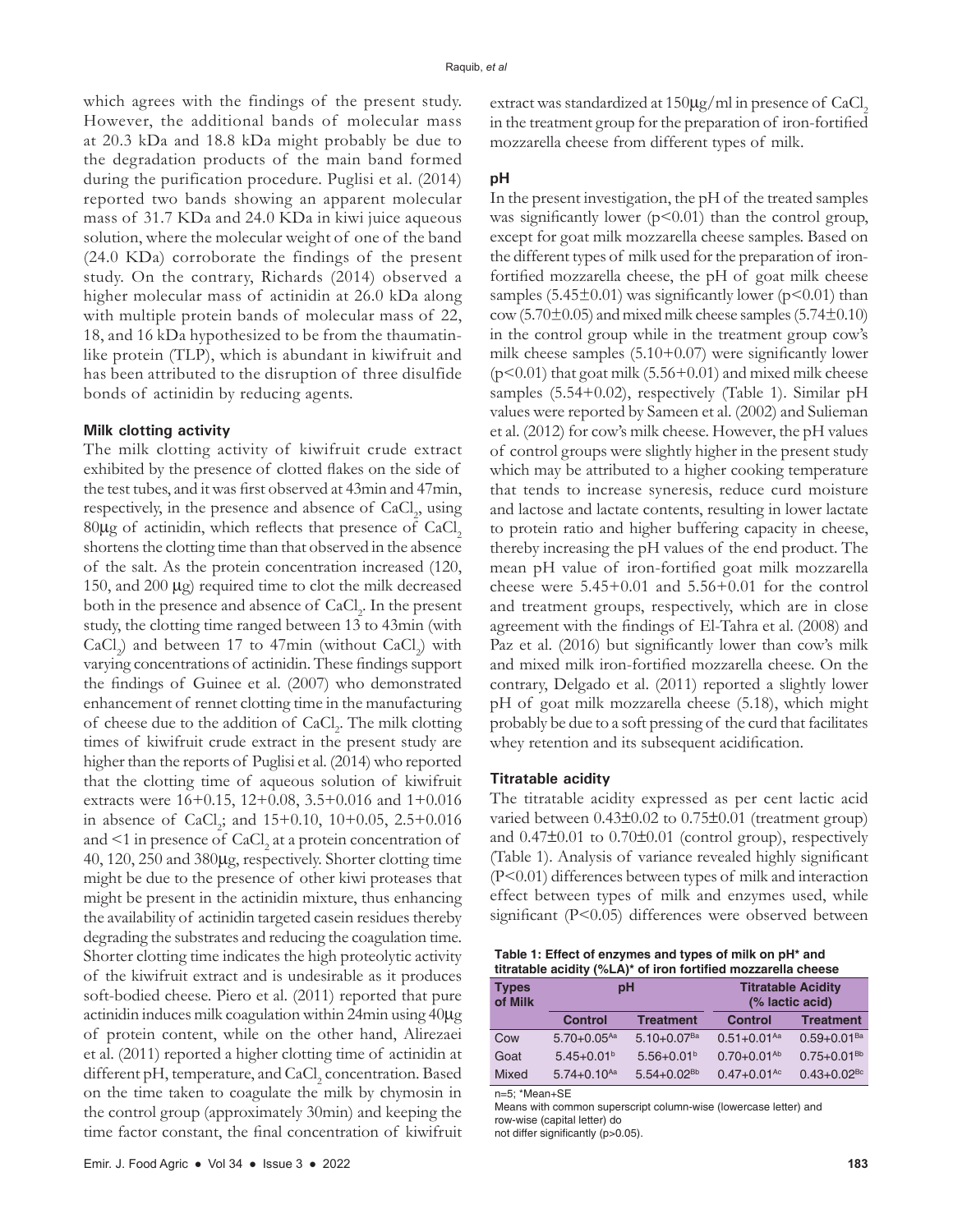which agrees with the findings of the present study. However, the additional bands of molecular mass at 20.3 kDa and 18.8 kDa might probably be due to the degradation products of the main band formed during the purification procedure. Puglisi et al. (2014) reported two bands showing an apparent molecular mass of 31.7 KDa and 24.0 KDa in kiwi juice aqueous solution, where the molecular weight of one of the band (24.0 KDa) corroborate the findings of the present study. On the contrary, Richards (2014) observed a higher molecular mass of actinidin at 26.0 kDa along with multiple protein bands of molecular mass of 22, 18, and 16 kDa hypothesized to be from the thaumatinlike protein (TLP), which is abundant in kiwifruit and has been attributed to the disruption of three disulfide bonds of actinidin by reducing agents.

#### **Milk clotting activity**

The milk clotting activity of kiwifruit crude extract exhibited by the presence of clotted flakes on the side of the test tubes, and it was first observed at 43min and 47min, respectively, in the presence and absence of CaCl<sub>2</sub>, using  $80\mu$ g of actinidin, which reflects that presence of CaCl<sub>2</sub> shortens the clotting time than that observed in the absence of the salt. As the protein concentration increased (120, 150, and 200 µg) required time to clot the milk decreased both in the presence and absence of CaCl<sub>2</sub>. In the present study, the clotting time ranged between 13 to 43min (with  $CaCl<sub>2</sub>$ ) and between 17 to 47min (without  $CaCl<sub>2</sub>$ ) with varying concentrations of actinidin. These findings support the findings of Guinee et al. (2007) who demonstrated enhancement of rennet clotting time in the manufacturing of cheese due to the addition of CaCl<sub>2</sub>. The milk clotting times of kiwifruit crude extract in the present study are higher than the reports of Puglisi et al. (2014) who reported that the clotting time of aqueous solution of kiwifruit extracts were 16+0.15, 12+0.08, 3.5+0.016 and 1+0.016 in absence of  $CaCl<sub>2</sub>$ ; and  $15+0.10$ ,  $10+0.05$ ,  $2.5+0.016$ and  $\leq 1$  in presence of  $\mathrm{CaCl}_{2}$  at a protein concentration of 40, 120, 250 and 380µg, respectively. Shorter clotting time might be due to the presence of other kiwi proteases that might be present in the actinidin mixture, thus enhancing the availability of actinidin targeted casein residues thereby degrading the substrates and reducing the coagulation time. Shorter clotting time indicates the high proteolytic activity of the kiwifruit extract and is undesirable as it produces soft-bodied cheese. Piero et al. (2011) reported that pure actinidin induces milk coagulation within 24min using 40µg of protein content, while on the other hand, Alirezaei et al. (2011) reported a higher clotting time of actinidin at different pH, temperature, and CaCl<sub>2</sub> concentration. Based on the time taken to coagulate the milk by chymosin in the control group (approximately 30min) and keeping the time factor constant, the final concentration of kiwifruit

#### **pH**

In the present investigation, the pH of the treated samples was significantly lower  $(p<0.01)$  than the control group, except for goat milk mozzarella cheese samples. Based on the different types of milk used for the preparation of ironfortified mozzarella cheese, the pH of goat milk cheese samples (5.45 $\pm$ 0.01) was significantly lower (p<0.01) than  $\text{cow (5.70±0.05)}$  and mixed milk cheese samples (5.74 $\pm$ 0.10) in the control group while in the treatment group cow's milk cheese samples (5.10+0.07) were significantly lower  $(p<0.01)$  that goat milk (5.56+0.01) and mixed milk cheese samples (5.54+0.02), respectively (Table 1). Similar pH values were reported by Sameen et al. (2002) and Sulieman et al. (2012) for cow's milk cheese. However, the pH values of control groups were slightly higher in the present study which may be attributed to a higher cooking temperature that tends to increase syneresis, reduce curd moisture and lactose and lactate contents, resulting in lower lactate to protein ratio and higher buffering capacity in cheese, thereby increasing the pH values of the end product. The mean pH value of iron-fortified goat milk mozzarella cheese were  $5.45+0.01$  and  $5.56+0.01$  for the control and treatment groups, respectively, which are in close agreement with the findings of El-Tahra et al. (2008) and Paz et al. (2016) but significantly lower than cow's milk and mixed milk iron-fortified mozzarella cheese. On the contrary, Delgado et al. (2011) reported a slightly lower pH of goat milk mozzarella cheese (5.18), which might probably be due to a soft pressing of the curd that facilitates whey retention and its subsequent acidification.

#### **Titratable acidity**

The titratable acidity expressed as per cent lactic acid varied between 0.43±0.02 to 0.75±0.01 (treatment group) and 0.47±0.01 to 0.70±0.01 (control group), respectively (Table 1). Analysis of variance revealed highly significant (P<0.01) differences between types of milk and interaction effect between types of milk and enzymes used, while significant (P<0.05) differences were observed between

**Table 1: Effect of enzymes and types of milk on pH\* and titratable acidity (%LA)\* of iron fortified mozzarella cheese**

| <b>Types</b><br>of Milk | pH                          |                           | <b>Titratable Acidity</b><br>(% lactic acid) |                             |  |  |  |
|-------------------------|-----------------------------|---------------------------|----------------------------------------------|-----------------------------|--|--|--|
|                         | <b>Control</b>              | <b>Treatment</b>          | <b>Control</b>                               | <b>Treatment</b>            |  |  |  |
| Cow                     | $5.70 + 0.05$ <sup>Aa</sup> | $5.10+0.07$ <sup>Ba</sup> | $0.51+0.01Aa$                                | $0.59 + 0.01$ <sup>Ba</sup> |  |  |  |
| Goat                    | $5.45+0.01b$                | $5.56 + 0.01b$            | $0.70 + 0.01^{Ab}$                           | $0.75 + 0.01^{Bb}$          |  |  |  |
| <b>Mixed</b>            | $5.74 + 0.10^{Aa}$          | $5.54 + 0.02^{Bb}$        | $0.47 + 0.01$ <sup>Ac</sup>                  | $0.43 + 0.02$ <sup>Bc</sup> |  |  |  |

n=5; \*Mean+SE

Means with common superscript column-wise (lowercase letter) and row-wise (capital letter) do

not differ significantly (p>0.05).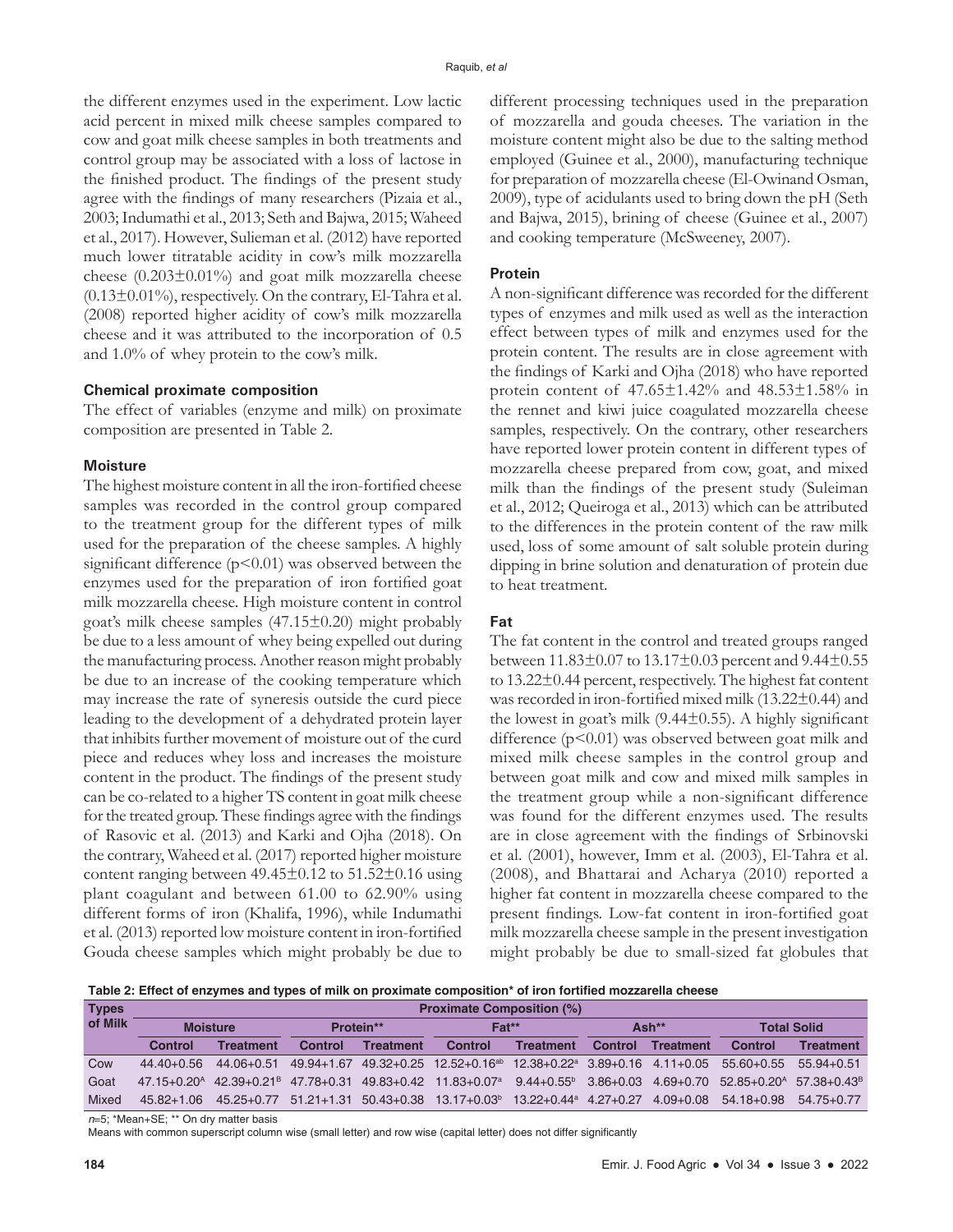the different enzymes used in the experiment. Low lactic acid percent in mixed milk cheese samples compared to cow and goat milk cheese samples in both treatments and control group may be associated with a loss of lactose in the finished product. The findings of the present study agree with the findings of many researchers (Pizaia et al., 2003; Indumathi et al., 2013; Seth and Bajwa, 2015; Waheed et al., 2017). However, Sulieman et al. (2012) have reported much lower titratable acidity in cow's milk mozzarella cheese  $(0.203 \pm 0.01\%)$  and goat milk mozzarella cheese  $(0.13\pm0.01\%)$ , respectively. On the contrary, El-Tahra et al. (2008) reported higher acidity of cow's milk mozzarella cheese and it was attributed to the incorporation of 0.5 and 1.0% of whey protein to the cow's milk.

#### **Chemical proximate composition**

The effect of variables (enzyme and milk) on proximate composition are presented in Table 2.

#### **Moisture**

The highest moisture content in all the iron-fortified cheese samples was recorded in the control group compared to the treatment group for the different types of milk used for the preparation of the cheese samples. A highly significant difference  $(p<0.01)$  was observed between the enzymes used for the preparation of iron fortified goat milk mozzarella cheese. High moisture content in control goat's milk cheese samples (47.15±0.20) might probably be due to a less amount of whey being expelled out during the manufacturing process. Another reason might probably be due to an increase of the cooking temperature which may increase the rate of syneresis outside the curd piece leading to the development of a dehydrated protein layer that inhibits further movement of moisture out of the curd piece and reduces whey loss and increases the moisture content in the product. The findings of the present study can be co-related to a higher TS content in goat milk cheese for the treated group. These findings agree with the findings of Rasovic et al. (2013) and Karki and Ojha (2018). On the contrary, Waheed et al. (2017) reported higher moisture content ranging between  $49.45\pm0.12$  to  $51.52\pm0.16$  using plant coagulant and between 61.00 to 62.90% using different forms of iron (Khalifa, 1996), while Indumathi et al. (2013) reported low moisture content in iron-fortified Gouda cheese samples which might probably be due to

different processing techniques used in the preparation of mozzarella and gouda cheeses. The variation in the moisture content might also be due to the salting method employed (Guinee et al., 2000), manufacturing technique for preparation of mozzarella cheese (El-Owinand Osman, 2009), type of acidulants used to bring down the pH (Seth and Bajwa, 2015), brining of cheese (Guinee et al., 2007) and cooking temperature (McSweeney, 2007).

## **Protein**

A non-significant difference was recorded for the different types of enzymes and milk used as well as the interaction effect between types of milk and enzymes used for the protein content. The results are in close agreement with the findings of Karki and Ojha (2018) who have reported protein content of 47.65±1.42% and 48.53±1.58% in the rennet and kiwi juice coagulated mozzarella cheese samples, respectively. On the contrary, other researchers have reported lower protein content in different types of mozzarella cheese prepared from cow, goat, and mixed milk than the findings of the present study (Suleiman et al., 2012; Queiroga et al., 2013) which can be attributed to the differences in the protein content of the raw milk used, loss of some amount of salt soluble protein during dipping in brine solution and denaturation of protein due to heat treatment.

## **Fat**

The fat content in the control and treated groups ranged between 11.83±0.07 to 13.17±0.03 percent and 9.44±0.55 to 13.22±0.44 percent, respectively. The highest fat content was recorded in iron-fortified mixed milk (13.22±0.44) and the lowest in goat's milk (9.44±0.55). A highly significant difference  $(p<0.01)$  was observed between goat milk and mixed milk cheese samples in the control group and between goat milk and cow and mixed milk samples in the treatment group while a non-significant difference was found for the different enzymes used. The results are in close agreement with the findings of Srbinovski et al. (2001), however, Imm et al. (2003), El-Tahra et al. (2008), and Bhattarai and Acharya (2010) reported a higher fat content in mozzarella cheese compared to the present findings. Low-fat content in iron-fortified goat milk mozzarella cheese sample in the present investigation might probably be due to small-sized fat globules that

**Table 2: Effect of enzymes and types of milk on proximate composition\* of iron fortified mozzarella cheese**

| <b>Types</b> | <b>Proximate Composition (%)</b> |                                                     |           |                  |                                                                                                       |                                         |         |                  |                    |                  |
|--------------|----------------------------------|-----------------------------------------------------|-----------|------------------|-------------------------------------------------------------------------------------------------------|-----------------------------------------|---------|------------------|--------------------|------------------|
| of Milk      | <b>Moisture</b>                  |                                                     | Protein** |                  | $Fat**$                                                                                               |                                         | Ash**   |                  | <b>Total Solid</b> |                  |
|              | Control                          | <b>Treatment</b>                                    | Control   | <b>Treatment</b> | <b>Control</b>                                                                                        | <b>Treatment</b>                        | Control | <b>Treatment</b> | Control            | <b>Treatment</b> |
| Cow          | $44.40 + 0.56$                   | 44.06+0.51                                          |           |                  | 49.94+1.67 49.32+0.25 12.52+0.16 <sup>ab</sup> 12.38+0.22 <sup>a</sup> 3.89+0.16 4.11+0.05 55.60+0.55 |                                         |         |                  |                    | $55.94 + 0.51$   |
| Goat         |                                  | $47.15 + 0.20^{\text{A}}$ $42.39 + 0.21^{\text{B}}$ |           |                  | 47.78+0.31 49.83+0.42 11.83+0.07 <sup>a</sup>                                                         | $9.44+0.55^{\circ}$ 3.86+0.03 4.69+0.70 |         |                  | $52.85 + 0.20A$    | $57.38 + 0.43^B$ |
| Mixed        | $45.82 + 1.06$                   | $45.25 + 0.77$                                      |           |                  | $51.21+1.31$ $50.43+0.38$ $13.17+0.03^{\circ}$                                                        | $13.22 + 0.44^{\circ}$ 4.27+0.27        |         | $4.09 + 0.08$    | $54.18 + 0.98$     | $54.75 + 0.77$   |

*n*=5; \*Mean+SE; \*\* On dry matter basis

Means with common superscript column wise (small letter) and row wise (capital letter) does not differ significantly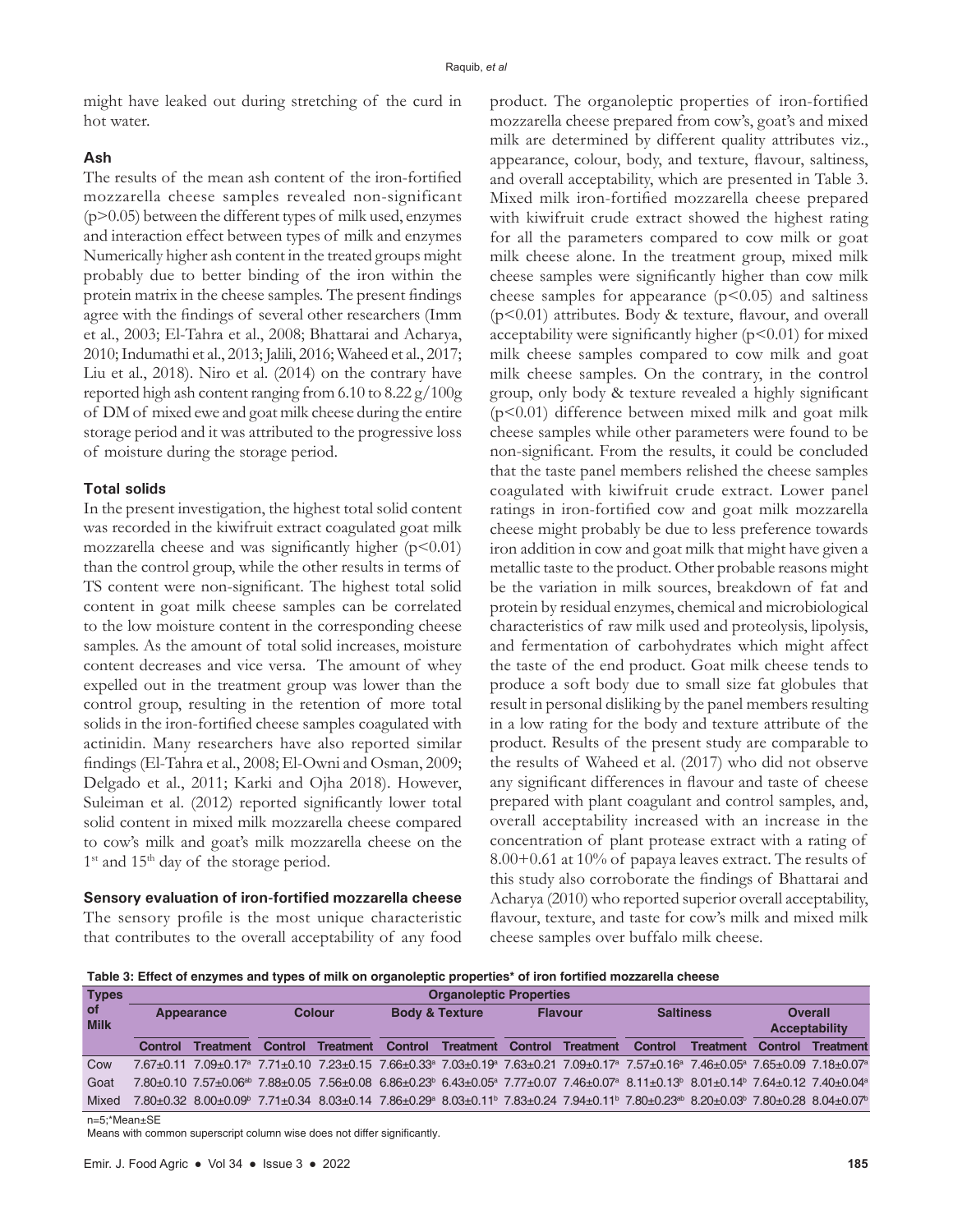might have leaked out during stretching of the curd in hot water.

#### **Ash**

The results of the mean ash content of the iron-fortified mozzarella cheese samples revealed non-significant (p>0.05) between the different types of milk used, enzymes and interaction effect between types of milk and enzymes Numerically higher ash content in the treated groups might probably due to better binding of the iron within the protein matrix in the cheese samples. The present findings agree with the findings of several other researchers (Imm et al., 2003; El-Tahra et al., 2008; Bhattarai and Acharya, 2010; Indumathi et al., 2013; Jalili, 2016; Waheed et al., 2017; Liu et al., 2018). Niro et al. (2014) on the contrary have reported high ash content ranging from 6.10 to 8.22 g/100g of DM of mixed ewe and goat milk cheese during the entire storage period and it was attributed to the progressive loss of moisture during the storage period.

## **Total solids**

In the present investigation, the highest total solid content was recorded in the kiwifruit extract coagulated goat milk mozzarella cheese and was significantly higher  $(p<0.01)$ than the control group, while the other results in terms of TS content were non-significant. The highest total solid content in goat milk cheese samples can be correlated to the low moisture content in the corresponding cheese samples. As the amount of total solid increases, moisture content decreases and vice versa. The amount of whey expelled out in the treatment group was lower than the control group, resulting in the retention of more total solids in the iron-fortified cheese samples coagulated with actinidin. Many researchers have also reported similar findings (El-Tahra et al., 2008; El-Owni and Osman, 2009; Delgado et al., 2011; Karki and Ojha 2018). However, Suleiman et al. (2012) reported significantly lower total solid content in mixed milk mozzarella cheese compared to cow's milk and goat's milk mozzarella cheese on the  $1<sup>st</sup>$  and  $15<sup>th</sup>$  day of the storage period.

# **Sensory evaluation of iron-fortified mozzarella cheese**

The sensory profile is the most unique characteristic that contributes to the overall acceptability of any food product. The organoleptic properties of iron-fortified mozzarella cheese prepared from cow's, goat's and mixed milk are determined by different quality attributes viz., appearance, colour, body, and texture, flavour, saltiness, and overall acceptability, which are presented in Table 3. Mixed milk iron-fortified mozzarella cheese prepared with kiwifruit crude extract showed the highest rating for all the parameters compared to cow milk or goat milk cheese alone. In the treatment group, mixed milk cheese samples were significantly higher than cow milk cheese samples for appearance  $(p<0.05)$  and saltiness (p<0.01) attributes. Body & texture, flavour, and overall acceptability were significantly higher  $(p<0.01)$  for mixed milk cheese samples compared to cow milk and goat milk cheese samples. On the contrary, in the control group, only body & texture revealed a highly significant (p<0.01) difference between mixed milk and goat milk cheese samples while other parameters were found to be non-significant. From the results, it could be concluded that the taste panel members relished the cheese samples coagulated with kiwifruit crude extract. Lower panel ratings in iron-fortified cow and goat milk mozzarella cheese might probably be due to less preference towards iron addition in cow and goat milk that might have given a metallic taste to the product. Other probable reasons might be the variation in milk sources, breakdown of fat and protein by residual enzymes, chemical and microbiological characteristics of raw milk used and proteolysis, lipolysis, and fermentation of carbohydrates which might affect the taste of the end product. Goat milk cheese tends to produce a soft body due to small size fat globules that result in personal disliking by the panel members resulting in a low rating for the body and texture attribute of the product. Results of the present study are comparable to the results of Waheed et al. (2017) who did not observe any significant differences in flavour and taste of cheese prepared with plant coagulant and control samples, and, overall acceptability increased with an increase in the concentration of plant protease extract with a rating of 8.00+0.61 at 10% of papaya leaves extract. The results of this study also corroborate the findings of Bhattarai and Acharya (2010) who reported superior overall acceptability, flavour, texture, and taste for cow's milk and mixed milk cheese samples over buffalo milk cheese.

**Table 3: Effect of enzymes and types of milk on organoleptic properties\* of iron fortified mozzarella cheese**

| <b>Types</b>      |            | <b>Organoleptic Properties</b>                                                                                                                                                                                     |               |           |                           |                          |                |                  |                  |                  |                                        |                  |
|-------------------|------------|--------------------------------------------------------------------------------------------------------------------------------------------------------------------------------------------------------------------|---------------|-----------|---------------------------|--------------------------|----------------|------------------|------------------|------------------|----------------------------------------|------------------|
| of<br><b>Milk</b> | Appearance |                                                                                                                                                                                                                    | <b>Colour</b> |           | <b>Body &amp; Texture</b> |                          | <b>Flavour</b> |                  | <b>Saltiness</b> |                  | <b>Overall</b><br><b>Acceptability</b> |                  |
|                   | Control    | <b>Treatment</b>                                                                                                                                                                                                   | Control       | Treatment | Control                   | <b>Treatment Control</b> |                | <b>Treatment</b> | Control          | <b>Treatment</b> | Control                                | <b>Treatment</b> |
| Cow               |            | 7.67+0.11 7.09+0.17 <sup>a</sup> 7.71+0.10 7.23+0.15 7.66+0.33 <sup>a</sup> 7.03+0.19 <sup>a</sup> 7.63+0.21 7.09+0.17 <sup>a</sup> 7.57+0.16 <sup>a</sup> 7.46+0.05 <sup>a</sup> 7.65+0.09 7.18+0.07 <sup>a</sup> |               |           |                           |                          |                |                  |                  |                  |                                        |                  |
| Goat              |            | 7.80+0.10 7.57+0.06 <sup>ab</sup> 7.88+0.05 7.56+0.08 6.86+0.23 <sup>b</sup> 6.43+0.05 <sup>a</sup> 7.77+0.07 7.46+0.07 <sup>a</sup> 8.11+0.13 <sup>b</sup> 8.01+0.14 <sup>b</sup> 7.64+0.12 7.40+0.04a            |               |           |                           |                          |                |                  |                  |                  |                                        |                  |
| Mixed             |            | 7.80±0.02 8.00±0.09 7.71±0.34 8.03±0.14 7.86±0.29 8.03±0.11 7.83±0.24 7.94±0.11 7.80±0.23 8.20±0.03 7.80±0.28 8.04±0.07                                                                                            |               |           |                           |                          |                |                  |                  |                  |                                        |                  |
|                   |            |                                                                                                                                                                                                                    |               |           |                           |                          |                |                  |                  |                  |                                        |                  |

n=5;\*Mean±SE

Means with common superscript column wise does not differ significantly.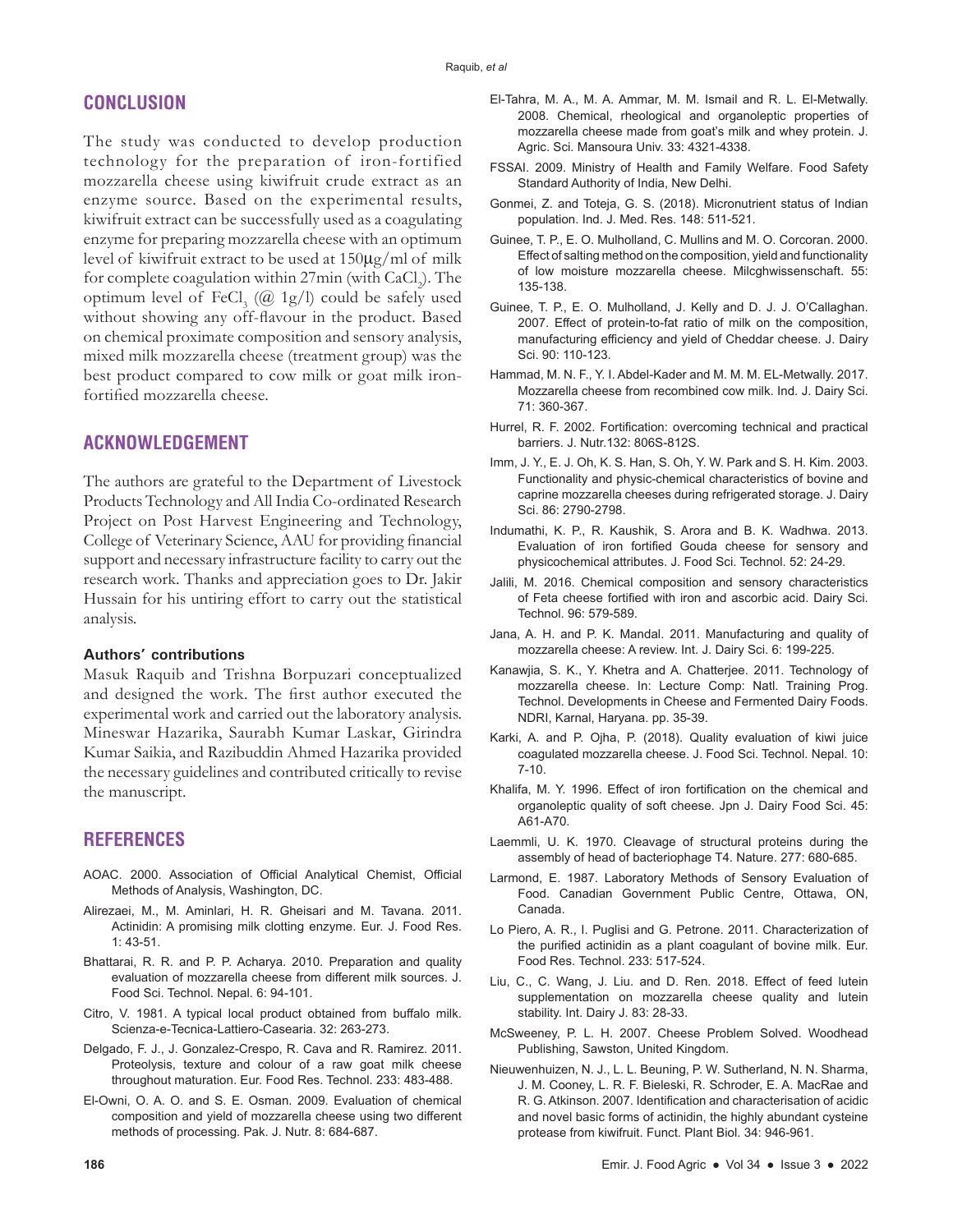# **CONCLUSION**

The study was conducted to develop production technology for the preparation of iron-fortified mozzarella cheese using kiwifruit crude extract as an enzyme source. Based on the experimental results, kiwifruit extract can be successfully used as a coagulating enzyme for preparing mozzarella cheese with an optimum level of kiwifruit extract to be used at 150µg/ml of milk for complete coagulation within 27min (with CaCl<sub>2</sub>). The optimum level of  $FeCl<sub>3</sub>$  (@ 1g/l) could be safely used without showing any off-flavour in the product. Based on chemical proximate composition and sensory analysis, mixed milk mozzarella cheese (treatment group) was the best product compared to cow milk or goat milk ironfortified mozzarella cheese.

# **ACKNOWLEDGEMENT**

The authors are grateful to the Department of Livestock Products Technology and All India Co-ordinated Research Project on Post Harvest Engineering and Technology, College of Veterinary Science, AAU for providing financial support and necessary infrastructure facility to carry out the research work. Thanks and appreciation goes to Dr. Jakir Hussain for his untiring effort to carry out the statistical analysis.

#### **Authors' contributions**

Masuk Raquib and Trishna Borpuzari conceptualized and designed the work. The first author executed the experimental work and carried out the laboratory analysis. Mineswar Hazarika, Saurabh Kumar Laskar, Girindra Kumar Saikia, and Razibuddin Ahmed Hazarika provided the necessary guidelines and contributed critically to revise the manuscript.

# **REFERENCES**

- AOAC. 2000. Association of Official Analytical Chemist, Official Methods of Analysis, Washington, DC.
- Alirezaei, M., M. Aminlari, H. R. Gheisari and M. Tavana. 2011. Actinidin: A promising milk clotting enzyme. Eur. J. Food Res. 1: 43-51.
- Bhattarai, R. R. and P. P. Acharya. 2010. Preparation and quality evaluation of mozzarella cheese from different milk sources. J. Food Sci. Technol. Nepal. 6: 94-101.
- Citro, V. 1981. A typical local product obtained from buffalo milk. Scienza-e-Tecnica-Lattiero-Casearia. 32: 263-273.
- Delgado, F. J., J. Gonzalez-Crespo, R. Cava and R. Ramirez. 2011. Proteolysis, texture and colour of a raw goat milk cheese throughout maturation. Eur. Food Res. Technol. 233: 483-488.
- El-Owni, O. A. O. and S. E. Osman. 2009. Evaluation of chemical composition and yield of mozzarella cheese using two different methods of processing. Pak. J. Nutr. 8: 684-687.
- El-Tahra, M. A., M. A. Ammar, M. M. Ismail and R. L. El-Metwally. 2008. Chemical, rheological and organoleptic properties of mozzarella cheese made from goat's milk and whey protein. J. Agric. Sci. Mansoura Univ. 33: 4321-4338.
- FSSAI. 2009. Ministry of Health and Family Welfare. Food Safety Standard Authority of India, New Delhi.
- Gonmei, Z. and Toteja, G. S. (2018). Micronutrient status of Indian population. Ind. J. Med. Res. 148: 511-521.
- Guinee, T. P., E. O. Mulholland, C. Mullins and M. O. Corcoran. 2000. Effect of salting method on the composition, yield and functionality of low moisture mozzarella cheese. Milcghwissenschaft. 55: 135-138.
- Guinee, T. P., E. O. Mulholland, J. Kelly and D. J. J. O'Callaghan. 2007. Effect of protein-to-fat ratio of milk on the composition, manufacturing efficiency and yield of Cheddar cheese. J. Dairy Sci. 90: 110-123.
- Hammad, M. N. F., Y. I. Abdel-Kader and M. M. M. EL-Metwally. 2017. Mozzarella cheese from recombined cow milk. Ind. J. Dairy Sci. 71: 360-367.
- Hurrel, R. F. 2002. Fortification: overcoming technical and practical barriers. J. Nutr.132: 806S-812S.
- Imm, J. Y., E. J. Oh, K. S. Han, S. Oh, Y. W. Park and S. H. Kim. 2003. Functionality and physic-chemical characteristics of bovine and caprine mozzarella cheeses during refrigerated storage. J. Dairy Sci. 86: 2790-2798.
- Indumathi, K. P., R. Kaushik, S. Arora and B. K. Wadhwa. 2013. Evaluation of iron fortified Gouda cheese for sensory and physicochemical attributes. J. Food Sci. Technol. 52: 24-29.
- Jalili, M. 2016. Chemical composition and sensory characteristics of Feta cheese fortified with iron and ascorbic acid. Dairy Sci. Technol. 96: 579-589.
- Jana, A. H. and P. K. Mandal. 2011. Manufacturing and quality of mozzarella cheese: A review. Int. J. Dairy Sci. 6: 199-225.
- Kanawjia, S. K., Y. Khetra and A. Chatterjee. 2011. Technology of mozzarella cheese. In: Lecture Comp: Natl. Training Prog. Technol. Developments in Cheese and Fermented Dairy Foods. NDRI, Karnal, Haryana. pp. 35-39.
- Karki, A. and P. Ojha, P. (2018). Quality evaluation of kiwi juice coagulated mozzarella cheese. J. Food Sci. Technol. Nepal. 10: 7-10.
- Khalifa, M. Y. 1996. Effect of iron fortification on the chemical and organoleptic quality of soft cheese. Jpn J. Dairy Food Sci. 45: A61-A70.
- Laemmli, U. K. 1970. Cleavage of structural proteins during the assembly of head of bacteriophage T4. Nature. 277: 680-685.
- Larmond, E. 1987. Laboratory Methods of Sensory Evaluation of Food. Canadian Government Public Centre, Ottawa, ON, Canada.
- Lo Piero, A. R., I. Puglisi and G. Petrone. 2011. Characterization of the purified actinidin as a plant coagulant of bovine milk. Eur. Food Res. Technol. 233: 517-524.
- Liu, C., C. Wang, J. Liu. and D. Ren. 2018. Effect of feed lutein supplementation on mozzarella cheese quality and lutein stability. Int. Dairy J. 83: 28-33.
- McSweeney, P. L. H. 2007. Cheese Problem Solved. Woodhead Publishing, Sawston, United Kingdom.
- Nieuwenhuizen, N. J., L. L. Beuning, P. W. Sutherland, N. N. Sharma, J. M. Cooney, L. R. F. Bieleski, R. Schroder, E. A. MacRae and R. G. Atkinson. 2007. Identification and characterisation of acidic and novel basic forms of actinidin, the highly abundant cysteine protease from kiwifruit. Funct. Plant Biol. 34: 946-961.